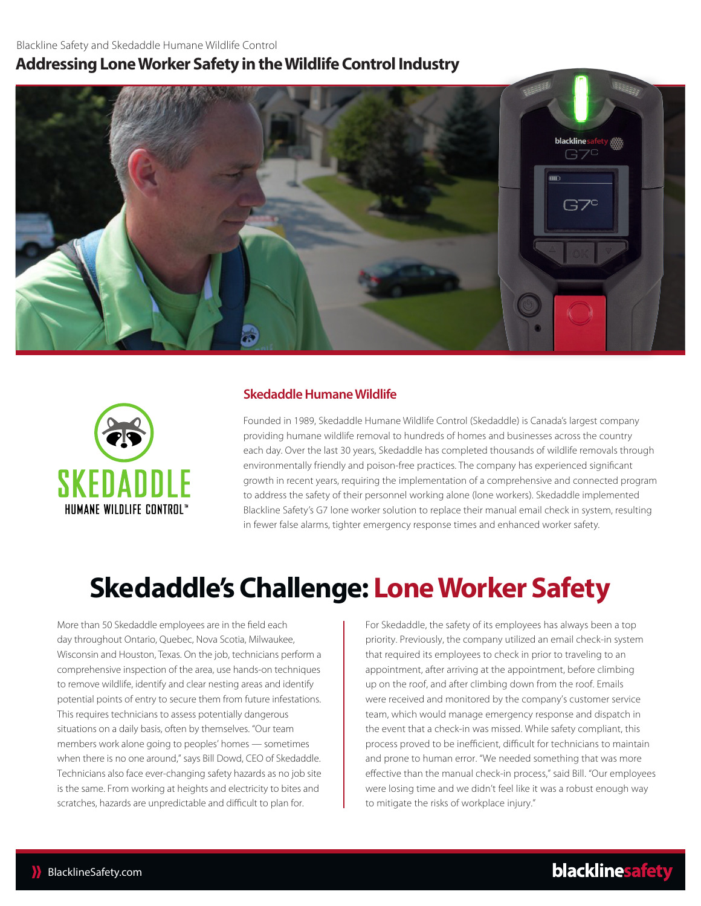## **Addressing Lone Worker Safety in the Wildlife Control Industry**





### **Skedaddle Humane Wildlife**

Founded in 1989, Skedaddle Humane Wildlife Control (Skedaddle) is Canada's largest company providing humane wildlife removal to hundreds of homes and businesses across the country each day. Over the last 30 years, Skedaddle has completed thousands of wildlife removals through environmentally friendly and poison-free practices. The company has experienced significant growth in recent years, requiring the implementation of a comprehensive and connected program to address the safety of their personnel working alone (lone workers). Skedaddle implemented Blackline Safety's G7 lone worker solution to replace their manual email check in system, resulting in fewer false alarms, tighter emergency response times and enhanced worker safety.

## **Skedaddle's Challenge: Lone Worker Safety**

More than 50 Skedaddle employees are in the field each day throughout Ontario, Quebec, Nova Scotia, Milwaukee, Wisconsin and Houston, Texas. On the job, technicians perform a comprehensive inspection of the area, use hands-on techniques to remove wildlife, identify and clear nesting areas and identify potential points of entry to secure them from future infestations. This requires technicians to assess potentially dangerous situations on a daily basis, often by themselves. "Our team members work alone going to peoples' homes — sometimes when there is no one around," says Bill Dowd, CEO of Skedaddle. Technicians also face ever-changing safety hazards as no job site is the same. From working at heights and electricity to bites and scratches, hazards are unpredictable and difficult to plan for.

For Skedaddle, the safety of its employees has always been a top priority. Previously, the company utilized an email check-in system that required its employees to check in prior to traveling to an appointment, after arriving at the appointment, before climbing up on the roof, and after climbing down from the roof. Emails were received and monitored by the company's customer service team, which would manage emergency response and dispatch in the event that a check-in was missed. While safety compliant, this process proved to be inefficient, difficult for technicians to maintain and prone to human error. "We needed something that was more effective than the manual check-in process," said Bill. "Our employees were losing time and we didn't feel like it was a robust enough way to mitigate the risks of workplace injury."